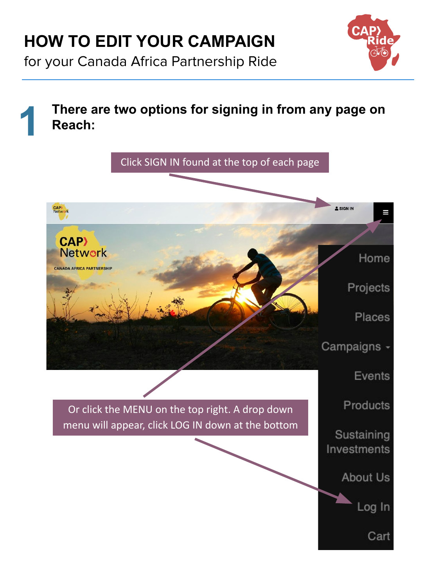for your Canada Africa Partnership Ride

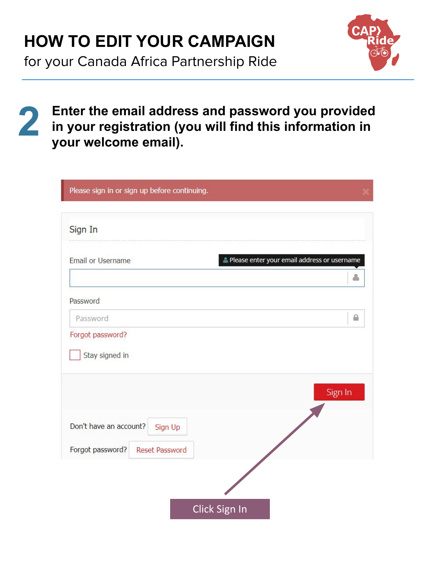for your Canada Africa Partnership Ride



**2**

**Enter the email address and password you provided in your registration (you will find this information in your welcome email).**

| Please sign in or sign up before continuing. |                                             |
|----------------------------------------------|---------------------------------------------|
| Sign In                                      |                                             |
| Email or Username                            | Please enter your email address or username |
|                                              |                                             |
| Password                                     |                                             |
| Password                                     | $\triangleq$                                |
| Forgot password?                             |                                             |
| Stay signed in                               |                                             |
|                                              | Sign In                                     |
| Don't have an account?<br>Sign Up            |                                             |
| Forgot password?<br>Reset Password           |                                             |
| Click Sign In                                |                                             |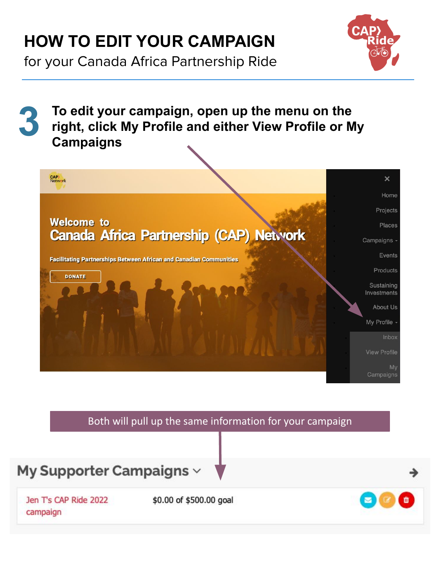for your Canada Africa Partnership Ride



**3 To edit your campaign, open up the menu on the right, click My Profile and either View Profile or My Campaigns**



### Both will pull up the same information for your campaign



Jen T's CAP Ride 2022 campaign

\$0.00 of \$500.00 goal

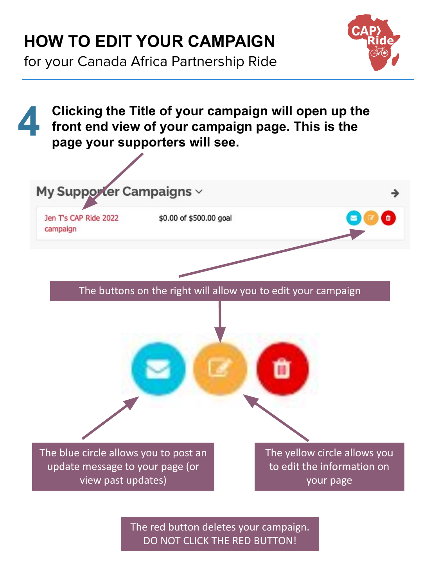for your Canada Africa Partnership Ride



The red button deletes your campaign. DO NOT CLICK THE RED BUTTON!